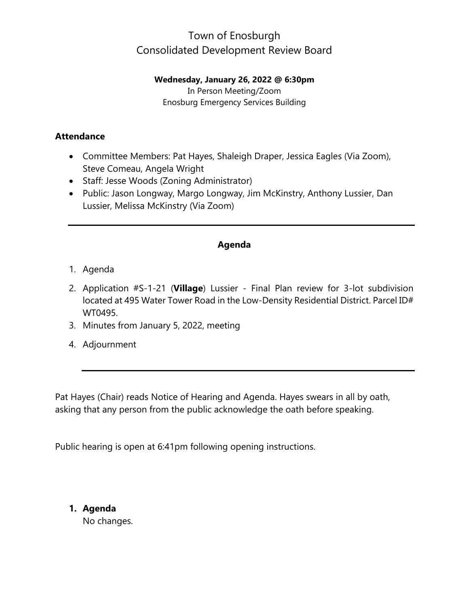# Town of Enosburgh Consolidated Development Review Board

#### **Wednesday, January 26, 2022 @ 6:30pm**

In Person Meeting/Zoom Enosburg Emergency Services Building

### **Attendance**

- Committee Members: Pat Hayes, Shaleigh Draper, Jessica Eagles (Via Zoom), Steve Comeau, Angela Wright
- Staff: Jesse Woods (Zoning Administrator)
- Public: Jason Longway, Margo Longway, Jim McKinstry, Anthony Lussier, Dan Lussier, Melissa McKinstry (Via Zoom)

### **Agenda**

- 1. Agenda
- 2. Application #S-1-21 (**Village**) Lussier Final Plan review for 3-lot subdivision located at 495 Water Tower Road in the Low-Density Residential District. Parcel ID# WT0495.
- 3. Minutes from January 5, 2022, meeting
- 4. Adjournment

Pat Hayes (Chair) reads Notice of Hearing and Agenda. Hayes swears in all by oath, asking that any person from the public acknowledge the oath before speaking.

Public hearing is open at 6:41pm following opening instructions.

**1. Agenda** No changes.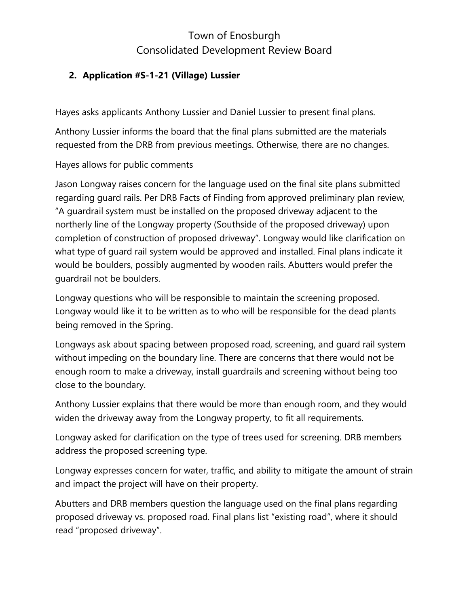# Town of Enosburgh Consolidated Development Review Board

### **2. Application #S-1-21 (Village) Lussier**

Hayes asks applicants Anthony Lussier and Daniel Lussier to present final plans.

Anthony Lussier informs the board that the final plans submitted are the materials requested from the DRB from previous meetings. Otherwise, there are no changes.

Hayes allows for public comments

Jason Longway raises concern for the language used on the final site plans submitted regarding guard rails. Per DRB Facts of Finding from approved preliminary plan review, "A guardrail system must be installed on the proposed driveway adjacent to the northerly line of the Longway property (Southside of the proposed driveway) upon completion of construction of proposed driveway". Longway would like clarification on what type of guard rail system would be approved and installed. Final plans indicate it would be boulders, possibly augmented by wooden rails. Abutters would prefer the guardrail not be boulders.

Longway questions who will be responsible to maintain the screening proposed. Longway would like it to be written as to who will be responsible for the dead plants being removed in the Spring.

Longways ask about spacing between proposed road, screening, and guard rail system without impeding on the boundary line. There are concerns that there would not be enough room to make a driveway, install guardrails and screening without being too close to the boundary.

Anthony Lussier explains that there would be more than enough room, and they would widen the driveway away from the Longway property, to fit all requirements.

Longway asked for clarification on the type of trees used for screening. DRB members address the proposed screening type.

Longway expresses concern for water, traffic, and ability to mitigate the amount of strain and impact the project will have on their property.

Abutters and DRB members question the language used on the final plans regarding proposed driveway vs. proposed road. Final plans list "existing road", where it should read "proposed driveway".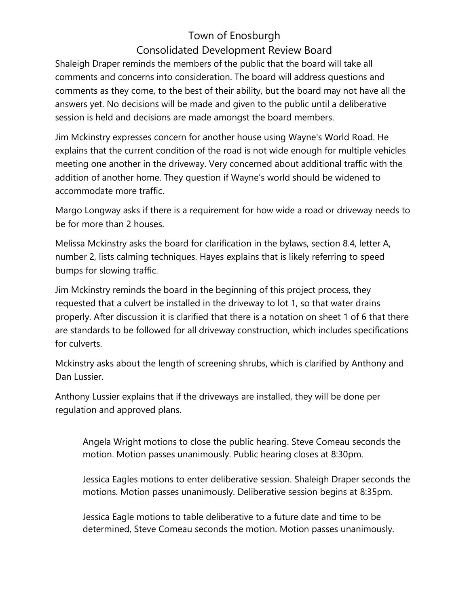# Town of Enosburgh Consolidated Development Review Board

Shaleigh Draper reminds the members of the public that the board will take all comments and concerns into consideration. The board will address questions and comments as they come, to the best of their ability, but the board may not have all the answers yet. No decisions will be made and given to the public until a deliberative session is held and decisions are made amongst the board members.

Jim Mckinstry expresses concern for another house using Wayne's World Road. He explains that the current condition of the road is not wide enough for multiple vehicles meeting one another in the driveway. Very concerned about additional traffic with the addition of another home. They question if Wayne's world should be widened to accommodate more traffic.

Margo Longway asks if there is a requirement for how wide a road or driveway needs to be for more than 2 houses.

Melissa Mckinstry asks the board for clarification in the bylaws, section 8.4, letter A, number 2, lists calming techniques. Hayes explains that is likely referring to speed bumps for slowing traffic.

Jim Mckinstry reminds the board in the beginning of this project process, they requested that a culvert be installed in the driveway to lot 1, so that water drains properly. After discussion it is clarified that there is a notation on sheet 1 of 6 that there are standards to be followed for all driveway construction, which includes specifications for culverts.

Mckinstry asks about the length of screening shrubs, which is clarified by Anthony and Dan Lussier.

Anthony Lussier explains that if the driveways are installed, they will be done per regulation and approved plans.

Angela Wright motions to close the public hearing. Steve Comeau seconds the motion. Motion passes unanimously. Public hearing closes at 8:30pm.

Jessica Eagles motions to enter deliberative session. Shaleigh Draper seconds the motions. Motion passes unanimously. Deliberative session begins at 8:35pm.

Jessica Eagle motions to table deliberative to a future date and time to be determined, Steve Comeau seconds the motion. Motion passes unanimously.